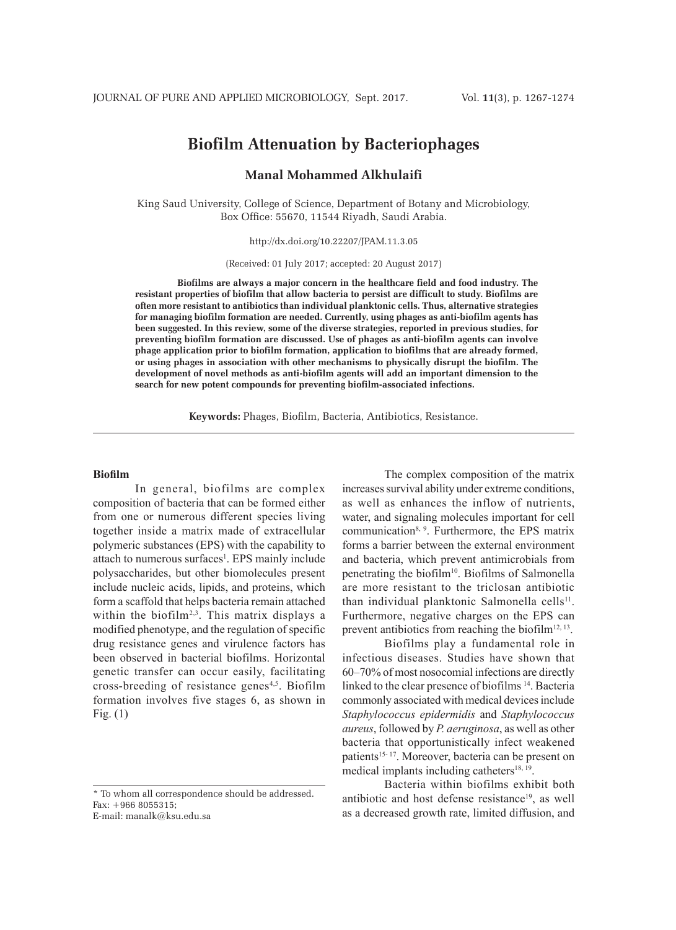# **Biofilm Attenuation by Bacteriophages**

# **Manal Mohammed Alkhulaifi**

King Saud University, College of Science, Department of Botany and Microbiology, Box Office: 55670, 11544 Riyadh, Saudi Arabia.

http://dx.doi.org/10.22207/JPAM.11.3.05

(Received: 01 July 2017; accepted: 20 August 2017)

**Biofilms are always a major concern in the healthcare field and food industry. The resistant properties of biofilm that allow bacteria to persist are difficult to study. Biofilms are often more resistant to antibiotics than individual planktonic cells. Thus, alternative strategies for managing biofilm formation are needed. Currently, using phages as anti-biofilm agents has been suggested. In this review, some of the diverse strategies, reported in previous studies, for preventing biofilm formation are discussed. Use of phages as anti-biofilm agents can involve phage application prior to biofilm formation, application to biofilms that are already formed, or using phages in association with other mechanisms to physically disrupt the biofilm. The development of novel methods as anti-biofilm agents will add an important dimension to the search for new potent compounds for preventing biofilm-associated infections.**

**Keywords:** Phages, Biofilm, Bacteria, Antibiotics, Resistance.

#### **Biofilm**

In general, biofilms are complex composition of bacteria that can be formed either from one or numerous different species living together inside a matrix made of extracellular polymeric substances (EPS) with the capability to attach to numerous surfaces<sup>1</sup>. EPS mainly include polysaccharides, but other biomolecules present include nucleic acids, lipids, and proteins, which form a scaffold that helps bacteria remain attached within the biofilm<sup>2,3</sup>. This matrix displays a modified phenotype, and the regulation of specific drug resistance genes and virulence factors has been observed in bacterial biofilms. Horizontal genetic transfer can occur easily, facilitating cross-breeding of resistance genes<sup>4,5</sup>. Biofilm formation involves five stages 6, as shown in Fig. (1)

\* To whom all correspondence should be addressed. Fax: +966 8055315; E-mail: manalk@ksu.edu.sa

The complex composition of the matrix increases survival ability under extreme conditions, as well as enhances the inflow of nutrients, water, and signaling molecules important for cell communication8, 9. Furthermore, the EPS matrix forms a barrier between the external environment and bacteria, which prevent antimicrobials from penetrating the biofilm<sup>10</sup>. Biofilms of Salmonella are more resistant to the triclosan antibiotic than individual planktonic Salmonella cells<sup>11</sup>. Furthermore, negative charges on the EPS can prevent antibiotics from reaching the biofilm<sup>12, 13</sup>.

Biofilms play a fundamental role in infectious diseases. Studies have shown that 60–70% of most nosocomial infections are directly linked to the clear presence of biofilms 14. Bacteria commonly associated with medical devices include *Staphylococcus epidermidis* and *Staphylococcus aureus*, followed by *P. aeruginosa*, as well as other bacteria that opportunistically infect weakened patients<sup>15-17</sup>. Moreover, bacteria can be present on medical implants including catheters $18, 19$ .

Bacteria within biofilms exhibit both antibiotic and host defense resistance<sup>19</sup>, as well as a decreased growth rate, limited diffusion, and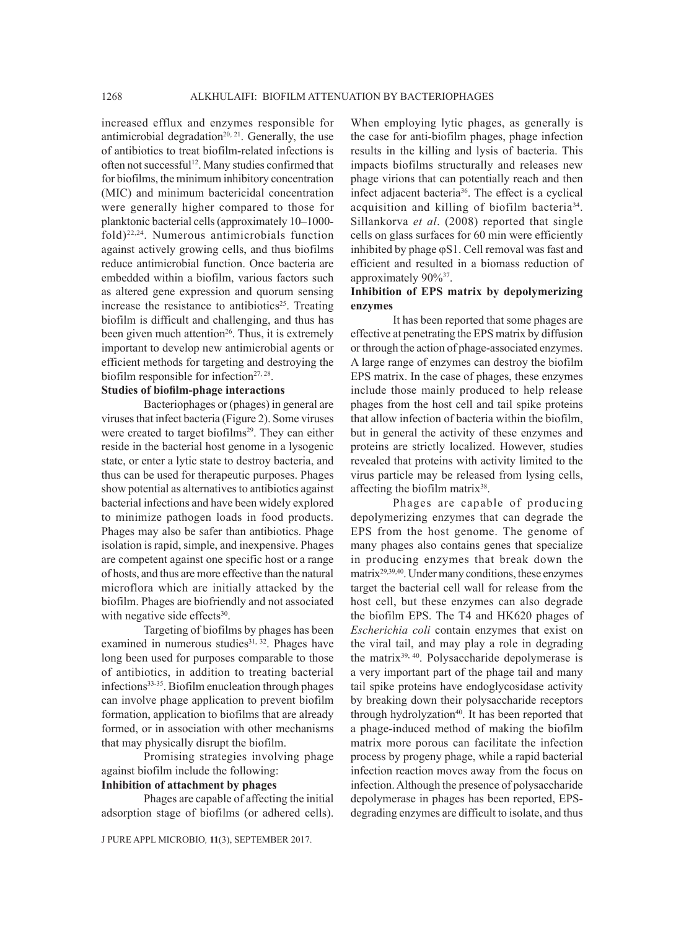increased efflux and enzymes responsible for antimicrobial degradation<sup>20, 21</sup>. Generally, the use of antibiotics to treat biofilm-related infections is often not successful<sup>12</sup>. Many studies confirmed that for biofilms, the minimum inhibitory concentration (MIC) and minimum bactericidal concentration were generally higher compared to those for planktonic bacterial cells (approximately 10–1000 fold)22,24. Numerous antimicrobials function against actively growing cells, and thus biofilms reduce antimicrobial function. Once bacteria are embedded within a biofilm, various factors such as altered gene expression and quorum sensing increase the resistance to antibiotics<sup>25</sup>. Treating biofilm is difficult and challenging, and thus has been given much attention<sup>26</sup>. Thus, it is extremely important to develop new antimicrobial agents or efficient methods for targeting and destroying the biofilm responsible for infection $27, 28$ .

### **Studies of biofilm-phage interactions**

Bacteriophages or (phages) in general are viruses that infect bacteria (Figure 2). Some viruses were created to target biofilms<sup>29</sup>. They can either reside in the bacterial host genome in a lysogenic state, or enter a lytic state to destroy bacteria, and thus can be used for therapeutic purposes. Phages show potential as alternatives to antibiotics against bacterial infections and have been widely explored to minimize pathogen loads in food products. Phages may also be safer than antibiotics. Phage isolation is rapid, simple, and inexpensive. Phages are competent against one specific host or a range of hosts, and thus are more effective than the natural microflora which are initially attacked by the biofilm. Phages are biofriendly and not associated with negative side effects $30$ .

Targeting of biofilms by phages has been examined in numerous studies<sup>31, 32</sup>. Phages have long been used for purposes comparable to those of antibiotics, in addition to treating bacterial infections33-35. Biofilm enucleation through phages can involve phage application to prevent biofilm formation, application to biofilms that are already formed, or in association with other mechanisms that may physically disrupt the biofilm.

Promising strategies involving phage against biofilm include the following:

# **Inhibition of attachment by phages**

Phages are capable of affecting the initial adsorption stage of biofilms (or adhered cells).

When employing lytic phages, as generally is the case for anti-biofilm phages, phage infection results in the killing and lysis of bacteria. This impacts biofilms structurally and releases new phage virions that can potentially reach and then infect adjacent bacteria<sup>36</sup>. The effect is a cyclical acquisition and killing of biofilm bacteria34. Sillankorva *et al*. (2008) reported that single cells on glass surfaces for 60 min were efficiently inhibited by phage  $\varphi$ S1. Cell removal was fast and efficient and resulted in a biomass reduction of approximately 90%37.

## **Inhibition of EPS matrix by depolymerizing enzymes**

It has been reported that some phages are effective at penetrating the EPS matrix by diffusion or through the action of phage-associated enzymes. A large range of enzymes can destroy the biofilm EPS matrix. In the case of phages, these enzymes include those mainly produced to help release phages from the host cell and tail spike proteins that allow infection of bacteria within the biofilm, but in general the activity of these enzymes and proteins are strictly localized. However, studies revealed that proteins with activity limited to the virus particle may be released from lysing cells, affecting the biofilm matrix<sup>38</sup>.

Phages are capable of producing depolymerizing enzymes that can degrade the EPS from the host genome. The genome of many phages also contains genes that specialize in producing enzymes that break down the matrix29,39,40. Under many conditions, these enzymes target the bacterial cell wall for release from the host cell, but these enzymes can also degrade the biofilm EPS. The T4 and HK620 phages of *Escherichia coli* contain enzymes that exist on the viral tail, and may play a role in degrading the matrix<sup>39, 40</sup>. Polysaccharide depolymerase is a very important part of the phage tail and many tail spike proteins have endoglycosidase activity by breaking down their polysaccharide receptors through hydrolyzation<sup>40</sup>. It has been reported that a phage-induced method of making the biofilm matrix more porous can facilitate the infection process by progeny phage, while a rapid bacterial infection reaction moves away from the focus on infection. Although the presence of polysaccharide depolymerase in phages has been reported, EPSdegrading enzymes are difficult to isolate, and thus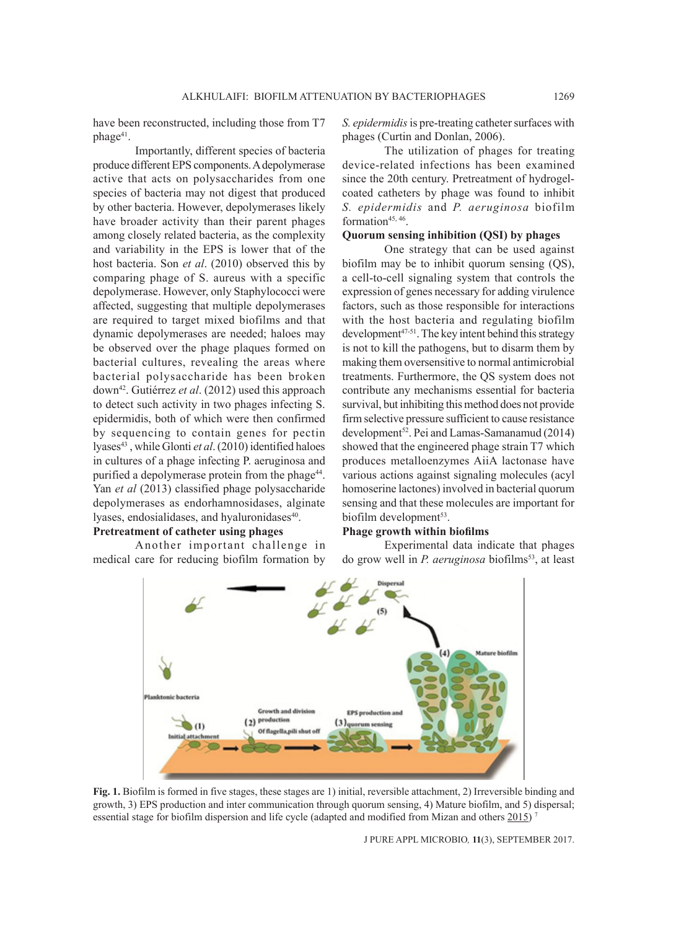have been reconstructed, including those from T7 phage<sup>41</sup>.

Importantly, different species of bacteria produce different EPS components. A depolymerase active that acts on polysaccharides from one species of bacteria may not digest that produced by other bacteria. However, depolymerases likely have broader activity than their parent phages among closely related bacteria, as the complexity and variability in the EPS is lower that of the host bacteria. Son *et al*. (2010) observed this by comparing phage of S. aureus with a specific depolymerase. However, only Staphylococci were affected, suggesting that multiple depolymerases are required to target mixed biofilms and that dynamic depolymerases are needed; haloes may be observed over the phage plaques formed on bacterial cultures, revealing the areas where bacterial polysaccharide has been broken down42. Gutiérrez *et al*. (2012) used this approach to detect such activity in two phages infecting S. epidermidis, both of which were then confirmed by sequencing to contain genes for pectin lyases<sup>43</sup>, while Glonti et al. (2010) identified haloes in cultures of a phage infecting P. aeruginosa and purified a depolymerase protein from the phage<sup>44</sup>. Yan *et al* (2013) classified phage polysaccharide depolymerases as endorhamnosidases, alginate lyases, endosialidases, and hyaluronidases<sup>40</sup>.

# **Pretreatment of catheter using phages**

Another important challenge in medical care for reducing biofilm formation by

*S. epidermidis* is pre-treating catheter surfaces with phages (Curtin and Donlan, 2006).

The utilization of phages for treating device-related infections has been examined since the 20th century. Pretreatment of hydrogelcoated catheters by phage was found to inhibit *S. epidermidis* and *P. aeruginosa* biofilm formation<sup>45, 46</sup>.

### **Quorum sensing inhibition (QSI) by phages**

One strategy that can be used against biofilm may be to inhibit quorum sensing (QS), a cell-to-cell signaling system that controls the expression of genes necessary for adding virulence factors, such as those responsible for interactions with the host bacteria and regulating biofilm development<sup>47-51</sup>. The key intent behind this strategy is not to kill the pathogens, but to disarm them by making them oversensitive to normal antimicrobial treatments. Furthermore, the QS system does not contribute any mechanisms essential for bacteria survival, but inhibiting this method does not provide firm selective pressure sufficient to cause resistance development<sup>52</sup>. Pei and Lamas-Samanamud (2014) showed that the engineered phage strain T7 which produces metalloenzymes AiiA lactonase have various actions against signaling molecules (acyl homoserine lactones) involved in bacterial quorum sensing and that these molecules are important for biofilm development $53$ .

### **Phage growth within biofilms**

Experimental data indicate that phages do grow well in *P. aeruginosa* biofilms<sup>53</sup>, at least



**Fig. 1.** Biofilm is formed in five stages, these stages are 1) initial, reversible attachment, 2) Irreversible binding and growth, 3) EPS production and inter communication through quorum sensing, 4) Mature biofilm, and 5) dispersal; essential stage for biofilm dispersion and life cycle (adapted and modified from Mizan and others 2015)<sup>7</sup>

J PURE APPL MICROBIO*,* **11**(3), SEPTEMBER 2017.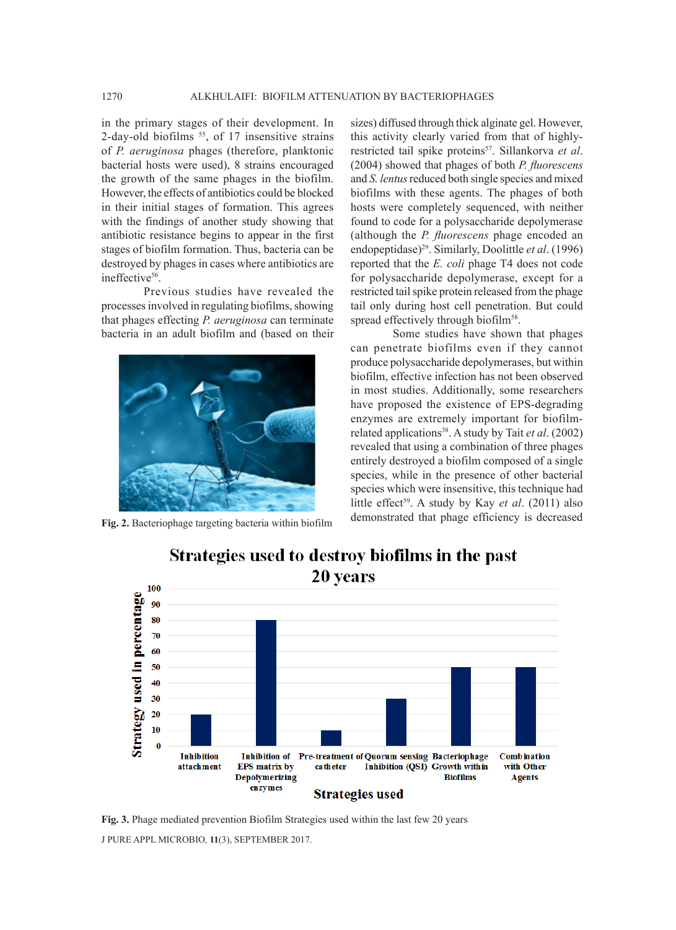in the primary stages of their development. In 2-day-old biofilms  $55$ , of 17 insensitive strains of *P. aeruginosa* phages (therefore, planktonic bacterial hosts were used), 8 strains encouraged the growth of the same phages in the biofilm. However, the effects of antibiotics could be blocked in their initial stages of formation. This agrees with the findings of another study showing that antibiotic resistance begins to appear in the first stages of biofilm formation. Thus, bacteria can be destroyed by phages in cases where antibiotics are ineffective<sup>56</sup>.

Previous studies have revealed the processes involved in regulating biofilms, showing that phages effecting *P. aeruginosa* can terminate bacteria in an adult biofilm and (based on their



sizes) diffused through thick alginate gel. However, this activity clearly varied from that of highlyrestricted tail spike proteins<sup>57</sup>. Sillankorva et al. (2004) showed that phages of both *P. fluorescens*  and *S. lentus* reduced both single species and mixed biofilms with these agents. The phages of both hosts were completely sequenced, with neither found to code for a polysaccharide depolymerase (although the *P. fluorescens* phage encoded an endopeptidase)29. Similarly, Doolittle *et al*. (1996) reported that the *E. coli* phage T4 does not code for polysaccharide depolymerase, except for a restricted tail spike protein released from the phage tail only during host cell penetration. But could spread effectively through biofilm<sup>58</sup>.

Some studies have shown that phages can penetrate biofilms even if they cannot produce polysaccharide depolymerases, but within biofilm, effective infection has not been observed in most studies. Additionally, some researchers have proposed the existence of EPS-degrading enzymes are extremely important for biofilmrelated applications38. A study by Tait *et al*. (2002) revealed that using a combination of three phages entirely destroyed a biofilm composed of a single species, while in the presence of other bacterial species which were insensitive, this technique had little effect<sup>59</sup>. A study by Kay et al. (2011) also Fig. 2. Bacteriophage targeting bacteria within biofilm demonstrated that phage efficiency is decreased



Strategies used to destroy biofilms in the past 20 years

J PURE APPL MICROBIO*,* **11**(3), SEPTEMBER 2017. **Fig. 3.** Phage mediated prevention Biofilm Strategies used within the last few 20 years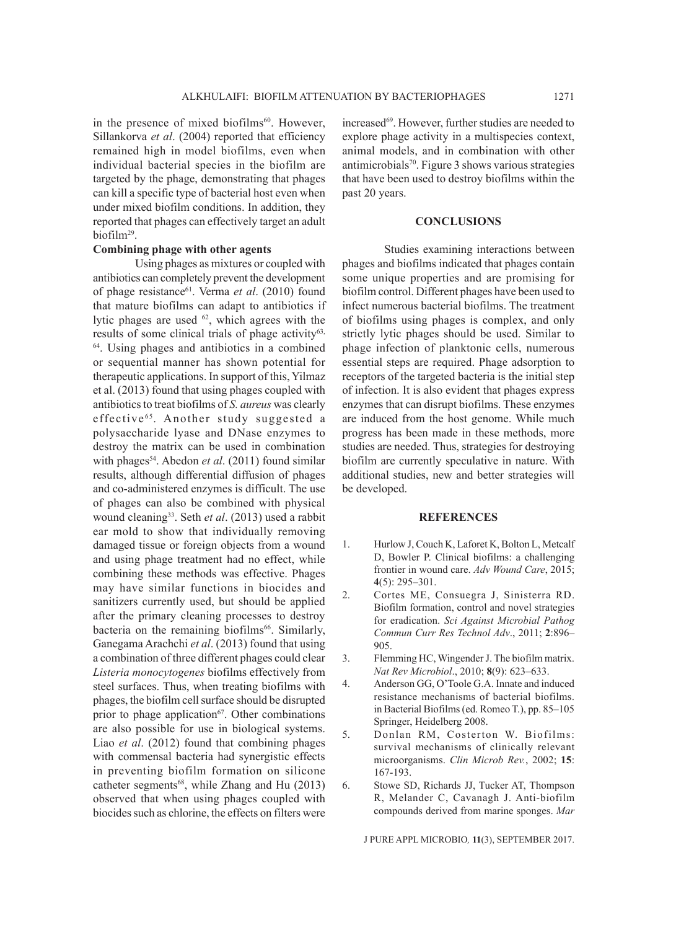in the presence of mixed biofilms<sup>60</sup>. However, Sillankorva *et al*. (2004) reported that efficiency remained high in model biofilms, even when individual bacterial species in the biofilm are targeted by the phage, demonstrating that phages can kill a specific type of bacterial host even when under mixed biofilm conditions. In addition, they reported that phages can effectively target an adult biofilm29.

# **Combining phage with other agents**

Using phages as mixtures or coupled with antibiotics can completely prevent the development of phage resistance<sup>61</sup>. Verma et al. (2010) found that mature biofilms can adapt to antibiotics if lytic phages are used <sup>62</sup>, which agrees with the results of some clinical trials of phage activity<sup>63,</sup> 64. Using phages and antibiotics in a combined or sequential manner has shown potential for therapeutic applications. In support of this, Yilmaz et al. (2013) found that using phages coupled with antibiotics to treat biofilms of *S. aureus* was clearly effective<sup>65</sup>. Another study suggested a polysaccharide lyase and DNase enzymes to destroy the matrix can be used in combination with phages<sup>54</sup>. Abedon *et al.* (2011) found similar results, although differential diffusion of phages and co-administered enzymes is difficult. The use of phages can also be combined with physical wound cleaning<sup>33</sup>. Seth et al. (2013) used a rabbit ear mold to show that individually removing damaged tissue or foreign objects from a wound and using phage treatment had no effect, while combining these methods was effective. Phages may have similar functions in biocides and sanitizers currently used, but should be applied after the primary cleaning processes to destroy bacteria on the remaining biofilms<sup>66</sup>. Similarly, Ganegama Arachchi *et al*. (2013) found that using a combination of three different phages could clear *Listeria monocytogenes* biofilms effectively from steel surfaces. Thus, when treating biofilms with phages, the biofilm cell surface should be disrupted prior to phage application<sup>67</sup>. Other combinations are also possible for use in biological systems. Liao *et al*. (2012) found that combining phages with commensal bacteria had synergistic effects in preventing biofilm formation on silicone catheter segments<sup>68</sup>, while Zhang and Hu (2013) observed that when using phages coupled with biocides such as chlorine, the effects on filters were

increased<sup>69</sup>. However, further studies are needed to explore phage activity in a multispecies context, animal models, and in combination with other antimicrobials<sup>70</sup>. Figure 3 shows various strategies that have been used to destroy biofilms within the past 20 years.

### **CONCLUSIONS**

Studies examining interactions between phages and biofilms indicated that phages contain some unique properties and are promising for biofilm control. Different phages have been used to infect numerous bacterial biofilms. The treatment of biofilms using phages is complex, and only strictly lytic phages should be used. Similar to phage infection of planktonic cells, numerous essential steps are required. Phage adsorption to receptors of the targeted bacteria is the initial step of infection. It is also evident that phages express enzymes that can disrupt biofilms. These enzymes are induced from the host genome. While much progress has been made in these methods, more studies are needed. Thus, strategies for destroying biofilm are currently speculative in nature. With additional studies, new and better strategies will be developed.

#### **REFERENCES**

- 1. Hurlow J, Couch K, Laforet K, Bolton L, Metcalf D, Bowler P. Clinical biofilms: a challenging frontier in wound care. *Adv Wound Care*, 2015; **4**(5): 295–301.
- 2. Cortes ME, Consuegra J, Sinisterra RD. Biofilm formation, control and novel strategies for eradication. *Sci Against Microbial Pathog Commun Curr Res Technol Adv*., 2011; **2**:896– 905.
- 3. Flemming HC, Wingender J. The biofilm matrix. *Nat Rev Microbiol*., 2010; **8**(9): 623–633.
- 4. Anderson GG, O'Toole G.A. Innate and induced resistance mechanisms of bacterial biofilms. in Bacterial Biofilms(ed. Romeo T.), pp. 85–105 Springer, Heidelberg 2008.
- 5. Donlan RM, Costerton W. Biofilms: survival mechanisms of clinically relevant microorganisms. *Clin Microb Rev.*, 2002; **15**: 167-193.
- 6. Stowe SD, Richards JJ, Tucker AT, Thompson R, Melander C, Cavanagh J. Anti-biofilm compounds derived from marine sponges. *Mar*

J PURE APPL MICROBIO*,* **11**(3), SEPTEMBER 2017.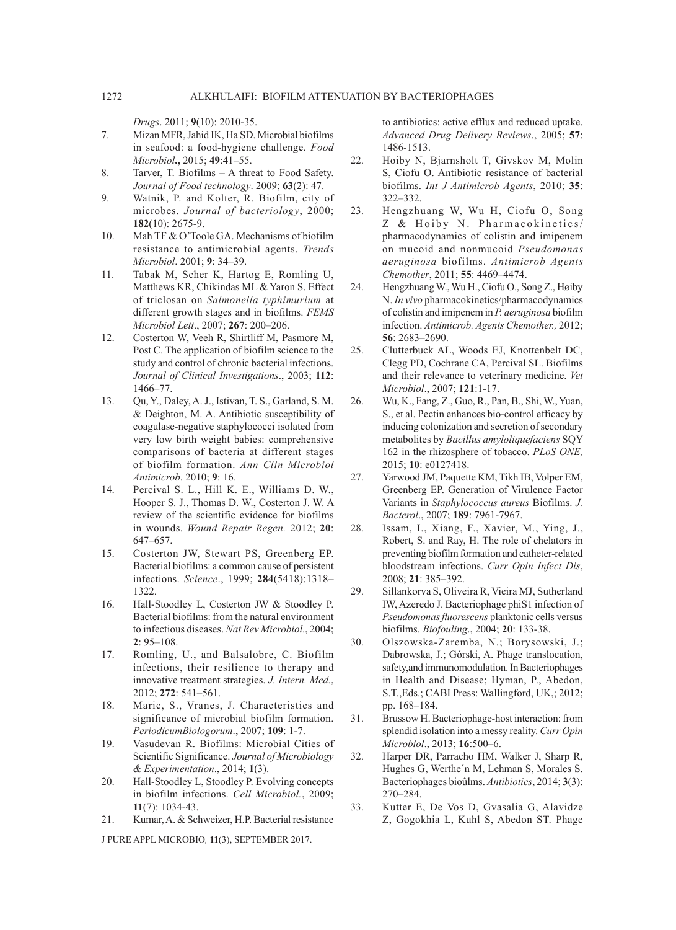*Drugs*. 2011; **9**(10): 2010-35.

- 7. Mizan MFR,Jahid IK, Ha SD. Microbial biofilms in seafood: a food-hygiene challenge. *Food Microbiol***.,** 2015; **49**:41–55.
- 8. Tarver, T. Biofilms A threat to Food Safety. *Journal of Food technology*. 2009; **63**(2): 47.
- 9. Watnik, P. and Kolter, R. Biofilm, city of microbes. *Journal of bacteriology*, 2000; **182**(10): 2675-9.
- 10. Mah TF & O'Toole GA. Mechanisms of biofilm resistance to antimicrobial agents. *Trends Microbiol*. 2001; **9**: 34–39.
- 11. Tabak M, Scher K, Hartog E, Romling U, Matthews KR, Chikindas ML & Yaron S. Effect of triclosan on *Salmonella typhimurium* at different growth stages and in biofilms. *FEMS Microbiol Lett*., 2007; **267**: 200–206.
- 12. Costerton W, Veeh R, Shirtliff M, Pasmore M, Post C. The application of biofilm science to the study and control of chronic bacterial infections. *Journal of Clinical Investigations*., 2003; **112**: 1466–77.
- 13. Qu, Y., Daley, A. J., Istivan, T. S., Garland, S. M. & Deighton, M. A. Antibiotic susceptibility of coagulase-negative staphylococci isolated from very low birth weight babies: comprehensive comparisons of bacteria at different stages of biofilm formation. *Ann Clin Microbiol Antimicrob*. 2010; **9**: 16.
- 14. Percival S. L., Hill K. E., Williams D. W., Hooper S. J., Thomas D. W., Costerton J. W. A review of the scientific evidence for biofilms in wounds. *Wound Repair Regen.* 2012; **20**: 647–657.
- 15. Costerton JW, Stewart PS, Greenberg EP. Bacterial biofilms: a common cause of persistent infections. *Science*., 1999; **284**(5418):1318– 1322.
- 16. Hall-Stoodley L, Costerton JW & Stoodley P. Bacterial biofilms: from the natural environment to infectious diseases. *Nat Rev Microbiol*., 2004; **2**: 95–108.
- 17. Romling, U., and Balsalobre, C. Biofilm infections, their resilience to therapy and innovative treatment strategies. *J. Intern. Med.*, 2012; **272**: 541–561.
- 18. Maric, S., Vranes, J. Characteristics and significance of microbial biofilm formation. *PeriodicumBiologorum*., 2007; **109**: 1-7.
- 19. Vasudevan R. Biofilms: Microbial Cities of Scientific Significance. *Journal of Microbiology & Experimentation*., 2014; **1**(3).
- 20. Hall-Stoodley L, Stoodley P. Evolving concepts in biofilm infections. *Cell Microbiol.*, 2009; **11**(7): 1034-43.
- 21. Kumar, A. & Schweizer, H.P. Bacterial resistance

J PURE APPL MICROBIO*,* **11**(3), SEPTEMBER 2017.

to antibiotics: active efflux and reduced uptake. *Advanced Drug Delivery Reviews*., 2005; **57**: 1486-1513.

- 22. Hoiby N, Bjarnsholt T, Givskov M, Molin S, Ciofu O. Antibiotic resistance of bacterial biofilms. *Int J Antimicrob Agents*, 2010; **35**: 322–332.
- 23. Hengzhuang W, Wu H, Ciofu O, Song Z & Hoiby N. Pharmacokinetics/ pharmacodynamics of colistin and imipenem on mucoid and nonmucoid *Pseudomonas aeruginosa* biofilms. *Antimicrob Agents Chemother*, 2011; **55**: 4469–4474.
- 24. Hengzhuang W., Wu H., Ciofu O., Song Z., Høiby N. *In vivo* pharmacokinetics/pharmacodynamics of colistin and imipenem in *P. aeruginosa* biofilm infection. *Antimicrob. Agents Chemother.,* 2012; **56**: 2683–2690.
- 25. Clutterbuck AL, Woods EJ, Knottenbelt DC, Clegg PD, Cochrane CA, Percival SL. Biofilms and their relevance to veterinary medicine. *Vet Microbiol*., 2007; **121**:1-17.
- 26. Wu, K., Fang, Z., Guo, R., Pan, B., Shi, W., Yuan, S., et al. Pectin enhances bio-control efficacy by inducing colonization and secretion of secondary metabolites by *Bacillus amyloliquefaciens* SQY 162 in the rhizosphere of tobacco. *PLoS ONE,*  2015; **10**: e0127418.
- 27. Yarwood JM, Paquette KM, Tikh IB, Volper EM, Greenberg EP. Generation of Virulence Factor Variants in *Staphylococcus aureus* Biofilms. *J. Bacterol*., 2007; **189**: 7961-7967.
- 28. Issam, I., Xiang, F., Xavier, M., Ying, J., Robert, S. and Ray, H. The role of chelators in preventing biofilm formation and catheter-related bloodstream infections. *Curr Opin Infect Dis*, 2008; **21**: 385–392.
- 29. Sillankorva S, Oliveira R, Vieira MJ, Sutherland IW, Azeredo J. Bacteriophage phiS1 infection of *Pseudomonas fluorescens* planktonic cells versus biofilms. *Biofouling*., 2004; **20**: 133-38.
- 30. Olszowska-Zaremba, N.; Borysowski, J.; Dabrowska, J.; Górski, A. Phage translocation, safety,and immunomodulation. In Bacteriophages in Health and Disease; Hyman, P., Abedon, S.T.,Eds.; CABI Press: Wallingford, UK,; 2012; pp. 168–184.
- 31. Brussow H. Bacteriophage-host interaction: from splendid isolation into a messy reality. *Curr Opin Microbiol*., 2013; **16**:500–6.
- 32. Harper DR, Parracho HM, Walker J, Sharp R, Hughes G, Werthe´n M, Lehman S, Morales S. Bacteriophages bioûlms. *Antibiotics*, 2014; **3**(3): 270–284.
- 33. Kutter E, De Vos D, Gvasalia G, Alavidze Z, Gogokhia L, Kuhl S, Abedon ST. Phage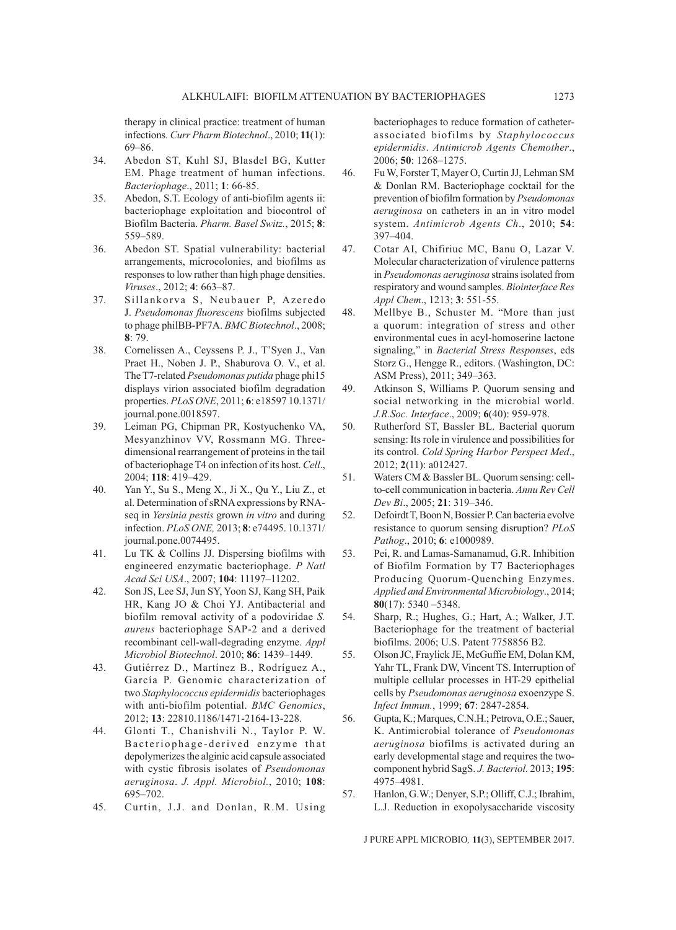therapy in clinical practice: treatment of human infections*. Curr Pharm Biotechnol*., 2010; **11**(1): 69–86.

- 34. Abedon ST, Kuhl SJ, Blasdel BG, Kutter EM. Phage treatment of human infections. *Bacteriophage*., 2011; **1**: 66-85.
- 35. Abedon, S.T. Ecology of anti-biofilm agents ii: bacteriophage exploitation and biocontrol of Biofilm Bacteria. *Pharm. Basel Switz.*, 2015; **8**: 559–589.
- 36. Abedon ST. Spatial vulnerability: bacterial arrangements, microcolonies, and biofilms as responses to low rather than high phage densities. *Viruses*., 2012; **4**: 663–87.
- 37. Sillankorva S, Neubauer P, Azeredo J. *Pseudomonas fluorescens* biofilms subjected to phage philBB-PF7A. *BMC Biotechnol*., 2008; **8**: 79.
- 38. Cornelissen A., Ceyssens P. J., T'Syen J., Van Praet H., Noben J. P., Shaburova O. V., et al. The T7-related *Pseudomonas putida* phage phi15 displays virion associated biofilm degradation properties. *PLoS ONE*, 2011; **6**: e18597 10.1371/ journal.pone.0018597.
- 39. Leiman PG, Chipman PR, Kostyuchenko VA, Mesyanzhinov VV, Rossmann MG. Threedimensional rearrangement of proteins in the tail of bacteriophage T4 on infection of its host. *Cell*., 2004; **118**: 419–429.
- 40. Yan Y., Su S., Meng X., Ji X., Qu Y., Liu Z., et al. Determination of sRNA expressions by RNAseq in *Yersinia pestis* grown *in vitro* and during infection. *PLoS ONE,* 2013; **8**: e74495. 10.1371/ journal.pone.0074495.
- 41. Lu TK & Collins JJ. Dispersing biofilms with engineered enzymatic bacteriophage. *P Natl Acad Sci USA*., 2007; **104**: 11197–11202.
- 42. Son JS, Lee SJ, Jun SY, Yoon SJ, Kang SH, Paik HR, Kang JO & Choi YJ. Antibacterial and biofilm removal activity of a podoviridae *S. aureus* bacteriophage SAP-2 and a derived recombinant cell-wall-degrading enzyme. *Appl Microbiol Biotechnol*. 2010; **86**: 1439–1449.
- 43. Gutiérrez D., Martínez B., Rodríguez A., García P. Genomic characterization of two *Staphylococcus epidermidis* bacteriophages with anti-biofilm potential. *BMC Genomics*, 2012; **13**: 22810.1186/1471-2164-13-228.
- 44. Glonti T., Chanishvili N., Taylor P. W. Bacteriophage-derived enzyme that depolymerizes the alginic acid capsule associated with cystic fibrosis isolates of *Pseudomonas aeruginosa*. *J. Appl. Microbiol.*, 2010; **108**: 695–702.
- 45. Curtin, J.J. and Donlan, R.M. Using

bacteriophages to reduce formation of catheterassociated biofilms by *Staphylococcus epidermidis*. *Antimicrob Agents Chemother*., 2006; **50**: 1268–1275.

- 46. Fu W, Forster T, Mayer O, Curtin JJ, Lehman SM & Donlan RM. Bacteriophage cocktail for the prevention of biofilm formation by *Pseudomonas aeruginosa* on catheters in an in vitro model system. *Antimicrob Agents Ch*., 2010; **54**: 397–404.
- 47. Cotar AI, Chifiriuc MC, Banu O, Lazar V. Molecular characterization of virulence patterns in *Pseudomonas aeruginosa* strains isolated from respiratory and wound samples. *Biointerface Res Appl Chem*., 1213; **3**: 551-55.
- 48. Mellbye B., Schuster M. "More than just a quorum: integration of stress and other environmental cues in acyl-homoserine lactone signaling," in *Bacterial Stress Responses*, eds Storz G., Hengge R., editors. (Washington, DC: ASM Press), 2011; 349–363.
- 49. Atkinson S, Williams P. Quorum sensing and social networking in the microbial world. *J.R.Soc. Interface*., 2009; **6**(40): 959-978.
- 50. Rutherford ST, Bassler BL. Bacterial quorum sensing: Its role in virulence and possibilities for its control. *Cold Spring Harbor Perspect Med*., 2012; **2**(11): a012427.
- 51. Waters CM & Bassler BL. Quorum sensing: cellto-cell communication in bacteria. *Annu Rev Cell Dev Bi*., 2005; **21**: 319–346.
- 52. Defoirdt T, Boon N, Bossier P. Can bacteria evolve resistance to quorum sensing disruption? *PLoS Pathog*., 2010; **6**: e1000989.
- 53. Pei, R. and Lamas-Samanamud, G.R. Inhibition of Biofilm Formation by T7 Bacteriophages Producing Quorum-Quenching Enzymes. *Applied and Environmental Microbiology*., 2014; **80**(17): 5340 –5348.
- 54. Sharp, R.; Hughes, G.; Hart, A.; Walker, J.T. Bacteriophage for the treatment of bacterial biofilms. 2006; U.S. Patent 7758856 B2.
- 55. Olson JC, Fraylick JE, McGuffie EM, Dolan KM, Yahr TL, Frank DW, Vincent TS. Interruption of multiple cellular processes in HT-29 epithelial cells by *Pseudomonas aeruginosa* exoenzype S. *Infect Immun.*, 1999; **67**: 2847-2854.
- 56. Gupta, K.; Marques, C.N.H.; Petrova, O.E.; Sauer, K. Antimicrobial tolerance of *Pseudomonas aeruginosa* biofilms is activated during an early developmental stage and requires the twocomponent hybrid SagS. *J. Bacteriol.* 2013; **195**: 4975–4981.
- 57. Hanlon, G.W.; Denyer, S.P.; Olliff, C.J.; Ibrahim, L.J. Reduction in exopolysaccharide viscosity

J PURE APPL MICROBIO*,* **11**(3), SEPTEMBER 2017.